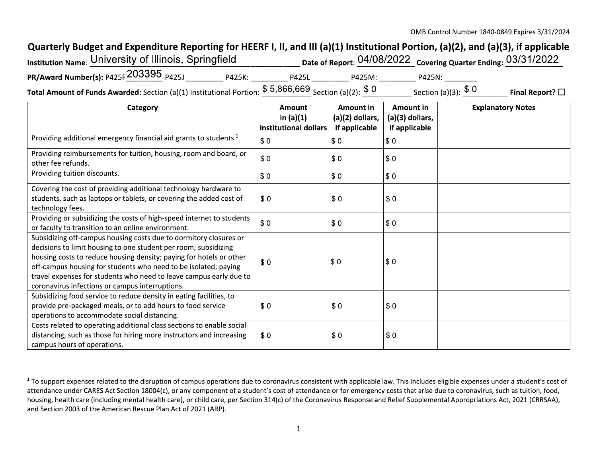## Quarterly Budget and Expenditure Reporting for HEERF I, II, and III (a)(1) Institutional Portion, (a)(2), and (a)(3), if applicable

| <b>Institution Name: University of Illinois, Springfield</b>                                                                  |        |              | Date of Report: $04/08/2022$ Covering Quarter Ending: $03/31/2022$ |                      |                         |
|-------------------------------------------------------------------------------------------------------------------------------|--------|--------------|--------------------------------------------------------------------|----------------------|-------------------------|
| PR/Award Number(s): P425F 203395 $_{P425J}$                                                                                   | P425K: | <b>P425L</b> | P425M:                                                             | P425N:               |                         |
| <b>Total Amount of Funds Awarded:</b> Section (a)(1) Institutional Portion: $\frac{\$~5,866,669}{\$~Section~(a)(2)}$ : $\$~0$ |        |              |                                                                    | Section (a)(3): $$0$ | Final Report? $\square$ |

| Category                                                                                                                                                                                                                                                                                                                                                                                                | <b>Amount</b><br>in $(a)(1)$ | <b>Amount in</b><br>(a)(2) dollars, | Amount in<br>(a)(3) dollars, | <b>Explanatory Notes</b> |
|---------------------------------------------------------------------------------------------------------------------------------------------------------------------------------------------------------------------------------------------------------------------------------------------------------------------------------------------------------------------------------------------------------|------------------------------|-------------------------------------|------------------------------|--------------------------|
|                                                                                                                                                                                                                                                                                                                                                                                                         | institutional dollars        | if applicable                       | if applicable                |                          |
| Providing additional emergency financial aid grants to students. <sup>1</sup>                                                                                                                                                                                                                                                                                                                           | \$0                          | \$0                                 | \$0                          |                          |
| Providing reimbursements for tuition, housing, room and board, or<br>other fee refunds.                                                                                                                                                                                                                                                                                                                 | \$0                          | \$0                                 | \$0                          |                          |
| Providing tuition discounts.                                                                                                                                                                                                                                                                                                                                                                            | \$0                          | \$0                                 | \$0                          |                          |
| Covering the cost of providing additional technology hardware to<br>students, such as laptops or tablets, or covering the added cost of<br>technology fees.                                                                                                                                                                                                                                             | \$0                          | \$0                                 | \$0                          |                          |
| Providing or subsidizing the costs of high-speed internet to students<br>or faculty to transition to an online environment.                                                                                                                                                                                                                                                                             | \$0                          | \$0                                 | \$0                          |                          |
| Subsidizing off-campus housing costs due to dormitory closures or<br>decisions to limit housing to one student per room; subsidizing<br>housing costs to reduce housing density; paying for hotels or other<br>off-campus housing for students who need to be isolated; paying<br>travel expenses for students who need to leave campus early due to<br>coronavirus infections or campus interruptions. | \$0                          | \$0                                 | \$0                          |                          |
| Subsidizing food service to reduce density in eating facilities, to<br>provide pre-packaged meals, or to add hours to food service<br>operations to accommodate social distancing.                                                                                                                                                                                                                      | \$0                          | \$0                                 | \$0                          |                          |
| Costs related to operating additional class sections to enable social<br>distancing, such as those for hiring more instructors and increasing<br>campus hours of operations.                                                                                                                                                                                                                            | \$0                          | \$0                                 | \$0                          |                          |

<sup>&</sup>lt;sup>1</sup> To support expenses related to the disruption of campus operations due to coronavirus consistent with applicable law. This includes eligible expenses under a student's cost of attendance under CARES Act Section 18004(c), or any component of a student's cost of attendance or for emergency costs that arise due to coronavirus, such as tuition, food, housing, health care (including mental health care), or child care, per Section 314(c) of the Coronavirus Response and Relief Supplemental Appropriations Act, 2021 (CRRSAA), and Section 2003 of the American Rescue Plan Act of 2021 (ARP).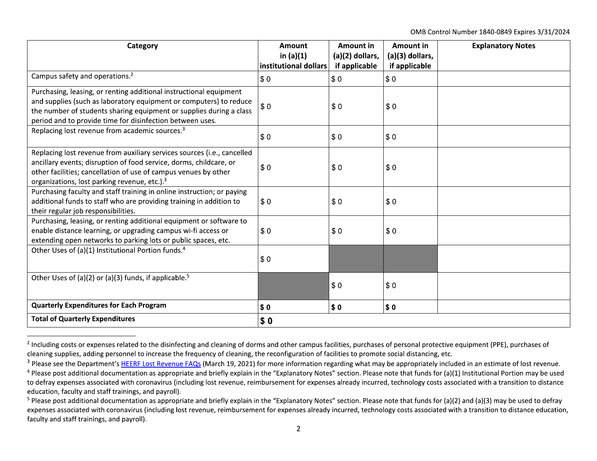OMB Control Number 1840-0849 Expires 3/31/2024

| Category                                                                                                                                                                                                                                                                     | Amount<br>in (a)(1)<br>institutional dollars | <b>Amount in</b><br>(a)(2) dollars,<br>if applicable | Amount in<br>(a)(3) dollars,<br>if applicable | <b>Explanatory Notes</b> |
|------------------------------------------------------------------------------------------------------------------------------------------------------------------------------------------------------------------------------------------------------------------------------|----------------------------------------------|------------------------------------------------------|-----------------------------------------------|--------------------------|
| Campus safety and operations. <sup>2</sup>                                                                                                                                                                                                                                   | \$0                                          | \$0                                                  | <b>SO</b>                                     |                          |
| Purchasing, leasing, or renting additional instructional equipment<br>and supplies (such as laboratory equipment or computers) to reduce<br>the number of students sharing equipment or supplies during a class<br>period and to provide time for disinfection between uses. | \$0                                          | \$0                                                  | \$0                                           |                          |
| Replacing lost revenue from academic sources. <sup>3</sup>                                                                                                                                                                                                                   | \$0                                          | \$0                                                  | \$0                                           |                          |
| Replacing lost revenue from auxiliary services sources (i.e., cancelled<br>ancillary events; disruption of food service, dorms, childcare, or<br>other facilities; cancellation of use of campus venues by other<br>organizations, lost parking revenue, etc.). <sup>3</sup> | \$0                                          | \$0                                                  | \$0                                           |                          |
| Purchasing faculty and staff training in online instruction; or paying<br>additional funds to staff who are providing training in addition to<br>their regular job responsibilities.                                                                                         | \$0                                          | \$0                                                  | \$0                                           |                          |
| Purchasing, leasing, or renting additional equipment or software to<br>enable distance learning, or upgrading campus wi-fi access or<br>extending open networks to parking lots or public spaces, etc.                                                                       | \$0                                          | \$0                                                  | \$0                                           |                          |
| Other Uses of (a)(1) Institutional Portion funds. <sup>4</sup>                                                                                                                                                                                                               | \$0                                          |                                                      |                                               |                          |
| Other Uses of (a)(2) or (a)(3) funds, if applicable. <sup>5</sup>                                                                                                                                                                                                            |                                              | \$0                                                  | \$0                                           |                          |
| <b>Quarterly Expenditures for Each Program</b>                                                                                                                                                                                                                               | \$0                                          | \$0                                                  | \$0                                           |                          |
| <b>Total of Quarterly Expenditures</b>                                                                                                                                                                                                                                       | \$0                                          |                                                      |                                               |                          |

<sup>&</sup>lt;sup>2</sup> Including costs or expenses related to the disinfecting and cleaning of dorms and other campus facilities, purchases of personal protective equipment (PPE), purchases of cleaning supplies, adding personnel to increase the frequency of cleaning, the reconfiguration of facilities to promote social distancing, etc.

<sup>&</sup>lt;sup>3</sup> Please see the Department's HEERF Lost Revenue FAQs (March 19, 2021) for more information regarding what may be appropriately included in an estimate of lost revenue.

 $4$  Please post additional documentation as appropriate and briefly explain in the "Explanatory Notes" section. Please note that funds for (a)(1) Institutional Portion may be used to defray expenses associated with coronavirus (including lost revenue, reimbursement for expenses already incurred, technology costs associated with a transition to distance education, faculty and staff trainings, and payroll).

<sup>&</sup>lt;sup>5</sup> Please post additional documentation as appropriate and briefly explain in the "Explanatory Notes" section. Please note that funds for (a)(2) and (a)(3) may be used to defray expenses associated with coronavirus (including lost revenue, reimbursement for expenses already incurred, technology costs associated with a transition to distance education, faculty and staff trainings, and payroll).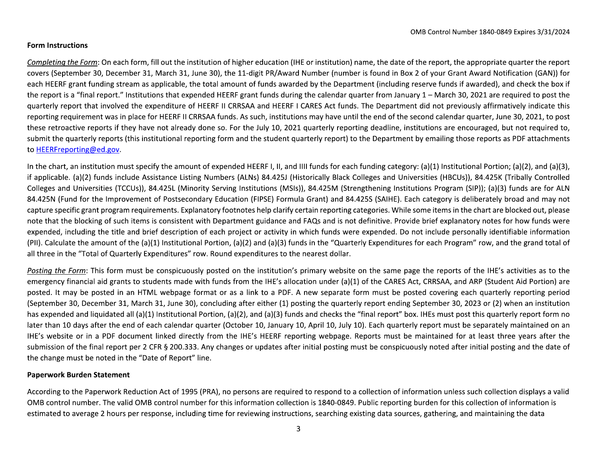## **Form Instructions**

Completing the Form: On each form, fill out the institution of higher education (IHE or institution) name, the date of the report, the appropriate quarter the report covers (September 30, December 31, March 31, June 30), the 11-digit PR/Award Number (number is found in Box 2 of your Grant Award Notification (GAN)) for each HEERF grant funding stream as applicable, the total amount of funds awarded by the Department (including reserve funds if awarded), and check the box if the report is a "final report." Institutions that expended HEERF grant funds during the calendar quarter from January 1 – March 30, 2021 are required to post the guarterly report that involved the expenditure of HEERF II CRRSAA and HEERF I CARES Act funds. The Department did not previously affirmatively indicate this reporting requirement was in place for HEERF II CRRSAA funds. As such, institutions may have until the end of the second calendar quarter, June 30, 2021, to post these retroactive reports if they have not already done so. For the July 10, 2021 quarterly reporting deadline, institutions are encouraged, but not required to, submit the quarterly reports (this institutional reporting form and the student quarterly report) to the Department by emailing those reports as PDF attachments to HEERFreporting@ed.gov.

In the chart, an institution must specify the amount of expended HEERF I, II, and IIII funds for each funding category:  $(a)(1)$  Institutional Portion;  $(a)(2)$ , and  $(a)(3)$ , if applicable. (a)(2) funds include Assistance Listing Numbers (ALNs) 84.425J (Historically Black Colleges and Universities (HBCUs)), 84.425K (Tribally Controlled Colleges and Universities (TCCUs)), 84.425L (Minority Serving Institutions (MSIs)), 84.425M (Strengthening Institutions Program (SIP)); (a)(3) funds are for ALN 84.425N (Fund for the Improvement of Postsecondary Education (FIPSE) Formula Grant) and 84.425S (SAIHE). Each category is deliberately broad and may not capture specific grant program requirements. Explanatory footnotes help clarify certain reporting categories. While some items in the chart are blocked out, please note that the blocking of such items is consistent with Department guidance and FAQs and is not definitive. Provide brief explanatory notes for how funds were expended, including the title and brief description of each project or activity in which funds were expended. Do not include personally identifiable information (PII). Calculate the amount of the (a)(1) Institutional Portion, (a)(2) and (a)(3) funds in the "Quarterly Expenditures for each Program" row, and the grand total of all three in the "Total of Quarterly Expenditures" row. Round expenditures to the nearest dollar.

Posting the Form: This form must be conspicuously posted on the institution's primary website on the same page the reports of the IHE's activities as to the emergency financial aid grants to students made with funds from the IHE's allocation under (a)(1) of the CARES Act, CRRSAA, and ARP (Student Aid Portion) are posted. It may be posted in an HTML webpage format or as a link to a PDF. A new separate form must be posted covering each quarterly reporting period (September 30, December 31, March 31, June 30), concluding after either (1) posting the quarterly report ending September 30, 2023 or (2) when an institution has expended and liquidated all (a)(1) Institutional Portion, (a)(2), and (a)(3) funds and checks the "final report" box. IHEs must post this quarterly report form no later than 10 days after the end of each calendar quarter (October 10, January 10, April 10, July 10). Each quarterly report must be separately maintained on an IHE's website or in a PDF document linked directly from the IHE's HEERF reporting webpage. Reports must be maintained for at least three years after the submission of the final report per 2 CFR § 200.333. Any changes or updates after initial posting must be conspicuously noted after initial posting and the date of the change must be noted in the "Date of Report" line.

## **Paperwork Burden Statement**

According to the Paperwork Reduction Act of 1995 (PRA), no persons are required to respond to a collection of information unless such collection displays a valid OMB control number. The valid OMB control number for this information collection is 1840-0849. Public reporting burden for this collection of information is estimated to average 2 hours per response, including time for reviewing instructions, searching existing data sources, gathering, and maintaining the data